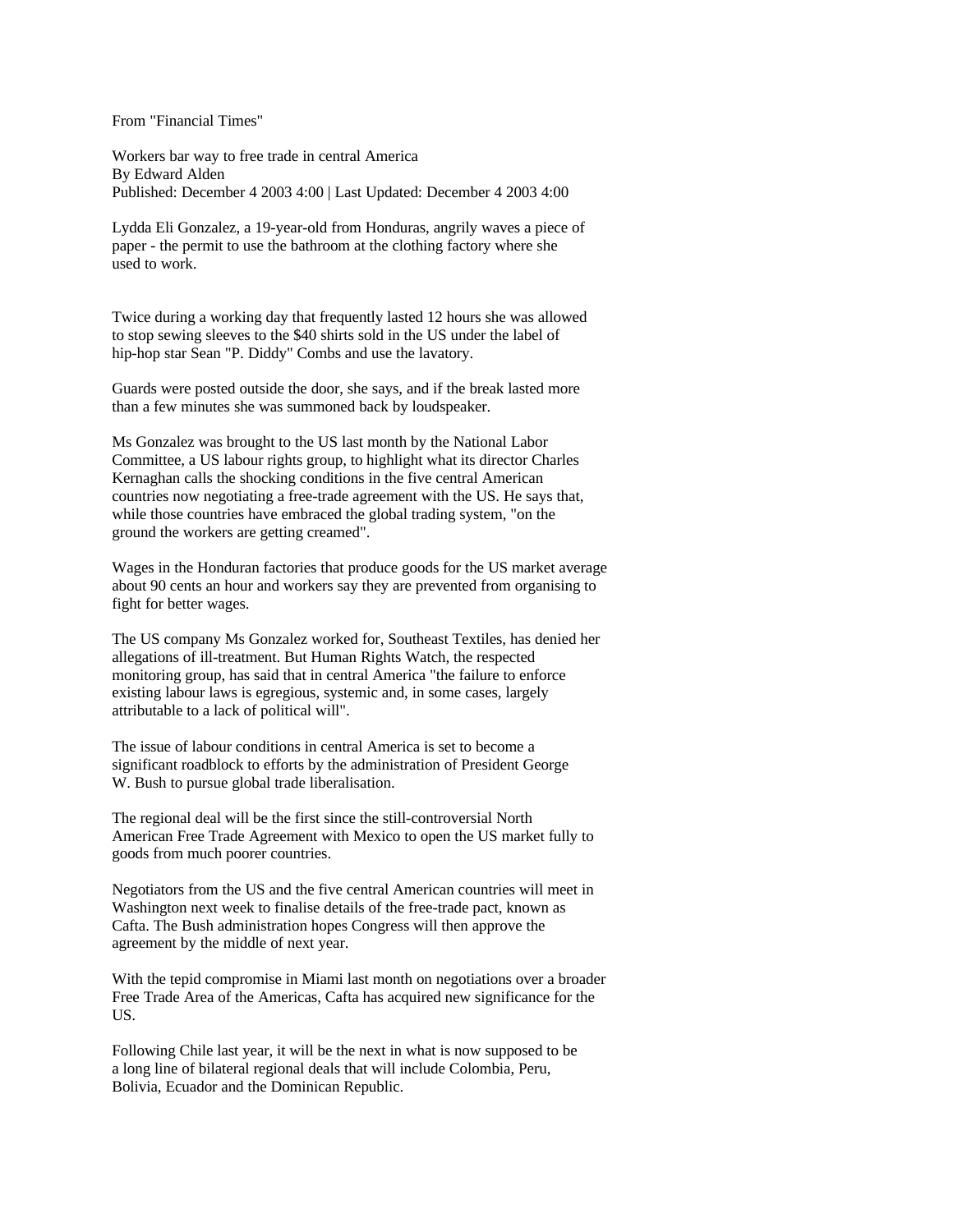From "Financial Times"

Workers bar way to free trade in central America By Edward Alden Published: December 4 2003 4:00 | Last Updated: December 4 2003 4:00

Lydda Eli Gonzalez, a 19-year-old from Honduras, angrily waves a piece of paper - the permit to use the bathroom at the clothing factory where she used to work.

Twice during a working day that frequently lasted 12 hours she was allowed to stop sewing sleeves to the \$40 shirts sold in the US under the label of hip-hop star Sean "P. Diddy" Combs and use the lavatory.

Guards were posted outside the door, she says, and if the break lasted more than a few minutes she was summoned back by loudspeaker.

Ms Gonzalez was brought to the US last month by the National Labor Committee, a US labour rights group, to highlight what its director Charles Kernaghan calls the shocking conditions in the five central American countries now negotiating a free-trade agreement with the US. He says that, while those countries have embraced the global trading system, "on the ground the workers are getting creamed".

Wages in the Honduran factories that produce goods for the US market average about 90 cents an hour and workers say they are prevented from organising to fight for better wages.

The US company Ms Gonzalez worked for, Southeast Textiles, has denied her allegations of ill-treatment. But Human Rights Watch, the respected monitoring group, has said that in central America "the failure to enforce existing labour laws is egregious, systemic and, in some cases, largely attributable to a lack of political will".

The issue of labour conditions in central America is set to become a significant roadblock to efforts by the administration of President George W. Bush to pursue global trade liberalisation.

The regional deal will be the first since the still-controversial North American Free Trade Agreement with Mexico to open the US market fully to goods from much poorer countries.

Negotiators from the US and the five central American countries will meet in Washington next week to finalise details of the free-trade pact, known as Cafta. The Bush administration hopes Congress will then approve the agreement by the middle of next year.

With the tepid compromise in Miami last month on negotiations over a broader Free Trade Area of the Americas, Cafta has acquired new significance for the US.

Following Chile last year, it will be the next in what is now supposed to be a long line of bilateral regional deals that will include Colombia, Peru, Bolivia, Ecuador and the Dominican Republic.